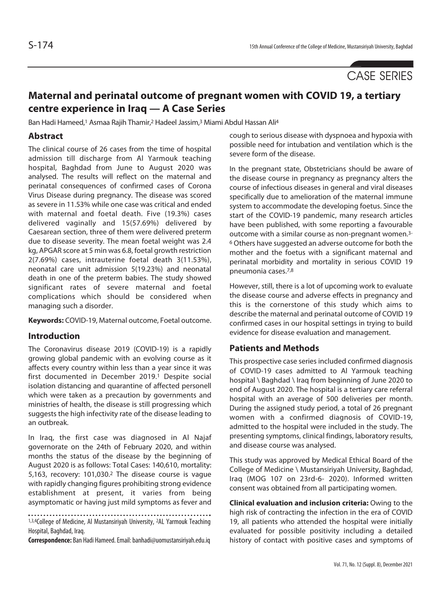CASE SERIES

# **Maternal and perinatal outcome of pregnant women with COVID 19, a tertiary centre experience in Iraq — A Case Series**

Ban Hadi Hameed,<sup>1</sup> Asmaa Rajih Thamir,<sup>2</sup> Hadeel Jassim,<sup>3</sup> Miami Abdul Hassan Ali<sup>4</sup>

## **Abstract**

The clinical course of 26 cases from the time of hospital admission till discharge from Al Yarmouk teaching hospital, Baghdad from June to August 2020 was analysed. The results will reflect on the maternal and perinatal consequences of confirmed cases of Corona Virus Disease during pregnancy. The disease was scored as severe in 11.53% while one case was critical and ended with maternal and foetal death. Five (19.3%) cases delivered vaginally and 15(57.69%) delivered by Caesarean section, three of them were delivered preterm due to disease severity. The mean foetal weight was 2.4 kg, APGAR score at 5 min was 6.8, foetal growth restriction 2(7.69%) cases, intrauterine foetal death 3(11.53%), neonatal care unit admission 5(19.23%) and neonatal death in one of the preterm babies. The study showed significant rates of severe maternal and foetal complications which should be considered when managing such a disorder.

**Keywords:** COVID-19, Maternal outcome, Foetal outcome.

### **Introduction**

The Coronavirus disease 2019 (COVID-19) is a rapidly growing global pandemic with an evolving course as it affects every country within less than a year since it was first documented in December 2019.1 Despite social isolation distancing and quarantine of affected personell which were taken as a precaution by governments and ministries of health, the disease is still progressing which suggests the high infectivity rate of the disease leading to an outbreak.

In Iraq, the first case was diagnosed in Al Najaf governorate on the 24th of February 2020, and within months the status of the disease by the beginning of August 2020 is as follows: Total Cases: 140,610, mortality: 5,163, recovery: 101,030.2 The disease course is vague with rapidly changing figures prohibiting strong evidence establishment at present, it varies from being asymptomatic or having just mild symptoms as fever and

1,3,4College of Medicine, Al Mustansiriyah University, 2AL Yarmouk Teaching Hospital, Baghdad, Iraq.

**Correspondence:** Ban Hadi Hameed. Email: banhadi@uomustansiriyah.edu.iq

cough to serious disease with dyspnoea and hypoxia with possible need for intubation and ventilation which is the severe form of the disease.

In the pregnant state, Obstetricians should be aware of the disease course in pregnancy as pregnancy alters the course of infectious diseases in general and viral diseases specifically due to amelioration of the maternal immune system to accommodate the developing foetus. Since the start of the COVID-19 pandemic, many research articles have been published, with some reporting a favourable outcome with a similar course as non-pregnant women.3- 6 Others have suggested an adverse outcome for both the mother and the foetus with a significant maternal and perinatal morbidity and mortality in serious COVID 19 pneumonia cases.7,8

However, still, there is a lot of upcoming work to evaluate the disease course and adverse effects in pregnancy and this is the cornerstone of this study which aims to describe the maternal and perinatal outcome of COVID 19 confirmed cases in our hospital settings in trying to build evidence for disease evaluation and management.

## **Patients and Methods**

This prospective case series included confirmed diagnosis of COVID-19 cases admitted to Al Yarmouk teaching hospital \ Baghdad \ Iraq from beginning of June 2020 to end of August 2020. The hospital is a tertiary care referral hospital with an average of 500 deliveries per month. During the assigned study period, a total of 26 pregnant women with a confirmed diagnosis of COVID-19, admitted to the hospital were included in the study. The presenting symptoms, clinical findings, laboratory results, and disease course was analysed.

This study was approved by Medical Ethical Board of the College of Medicine \ Mustansiriyah University, Baghdad, Iraq (MOG 107 on 23rd-6- 2020). Informed written consent was obtained from all participating women.

**Clinical evaluation and inclusion criteria:** Owing to the high risk of contracting the infection in the era of COVID 19, all patients who attended the hospital were initially evaluated for possible positivity including a detailed history of contact with positive cases and symptoms of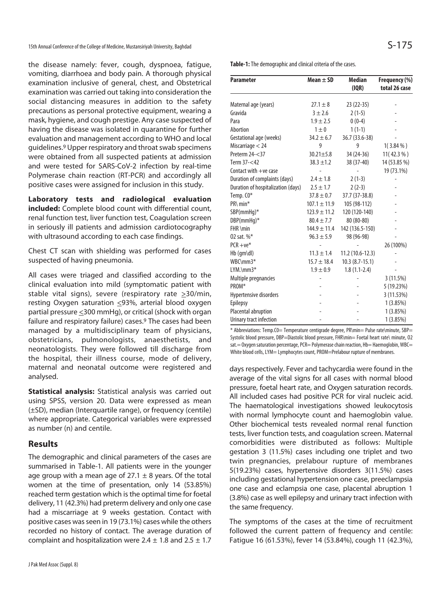the disease namely: fever, cough, dyspnoea, fatigue, vomiting, diarrhoea and body pain. A thorough physical examination inclusive of general, chest, and Obstetrical examination was carried out taking into consideration the social distancing measures in addition to the safety precautions as personal protective equipment, wearing a mask, hygiene, and cough prestige. Any case suspected of having the disease was isolated in quarantine for further evaluation and management according to WHO and local guidelines.9 Upper respiratory and throat swab specimens were obtained from all suspected patients at admission and were tested for SARS-CoV-2 infection by real-time Polymerase chain reaction (RT-PCR) and accordingly all positive cases were assigned for inclusion in this study.

**Laboratory tests and radiological evaluation included:** Complete blood count with differential count, renal function test, liver function test, Coagulation screen in seriously ill patients and admission cardiotocography with ultrasound according to each case findings.

Chest CT scan with shielding was performed for cases suspected of having pneumonia.

All cases were triaged and classified according to the clinical evaluation into mild (symptomatic patient with stable vital signs), severe (respiratory rate  $\geq$ 30/min, resting Oxygen saturation  $\leq$ 93%, arterial blood oxygen partial pressure <300 mmHg), or critical (shock with organ failure and respiratory failure) cases.<sup>9</sup> The cases had been managed by a multidisciplinary team of physicians, obstetricians, pulmonologists, anaesthetists, and neonatologists. They were followed till discharge from the hospital, their illness course, mode of delivery, maternal and neonatal outcome were registered and analysed.

**Statistical analysis:** Statistical analysis was carried out using SPSS, version 20. Data were expressed as mean (±SD), median (Interquartile range), or frequency (centile) where appropriate. Categorical variables were expressed as number (n) and centile.

#### **Results**

The demographic and clinical parameters of the cases are summarised in Table-1. All patients were in the younger age group with a mean age of 27.1  $\pm$  8 years. Of the total women at the time of presentation, only 14 (53.85%) reached term gestation which is the optimal time for foetal delivery, 11 (42.3%) had preterm delivery and only one case had a miscarriage at 9 weeks gestation. Contact with positive cases was seen in 19 (73.1%) cases while the others recorded no history of contact. The average duration of complaint and hospitalization were  $2.4 \pm 1.8$  and  $2.5 \pm 1.7$ 

**Table-1:** The demographic and clinical criteria of the cases.

| <b>Parameter</b>                   | Mean $\pm$ SD    | <b>Median</b>    | Frequency (%) |
|------------------------------------|------------------|------------------|---------------|
|                                    |                  | (IQR)            | total 26 case |
|                                    |                  |                  |               |
| Maternal age (years)               | $27.1 \pm 8$     | 23 (22-35)       |               |
| Gravida                            | $3 + 2.6$        | $2(1-5)$         |               |
| Para                               | $1.9 \pm 2.5$    | $0(0-4)$         |               |
| Abortion                           | $1 \pm 0$        | $1(1-1)$         |               |
| Gestational age (weeks)            | $34.2 \pm 6.7$   | 36.7 (33.6-38)   |               |
| Miscarriage $<$ 24                 | 9                | 9                | $1(3.84\% )$  |
| Preterm 24-<37                     | $30.21 \pm 5.8$  | 34 (24-36)       | 11(42.3%)     |
| Term 37-<42                        | $38.3 \pm 1.2$   | 38 (37-40)       | 14 (53.85 %)  |
| Contact with $+ve$ case            |                  |                  | 19 (73.1%)    |
| Duration of complaints (days)      | $2.4 \pm 1.8$    | $2(1-3)$         |               |
| Duration of hospitalization (days) | $2.5 \pm 1.7$    | $2(2-3)$         |               |
| Temp. CO*                          | $37.8 \pm 0.7$   | 37.7 (37-38.8)   |               |
| PR\ min*                           | $107.1 \pm 11.9$ | 105 (98-112)     |               |
| SBP(mmHg)*                         | $123.9 \pm 11.2$ | 120 (120-140)    |               |
| DBP(mmHq)*                         | $80.4 \pm 7.7$   | 80 (80-80)       |               |
| FHR \min                           | $144.9 \pm 11.4$ | 142 (136.5-150)  |               |
| 02 sat. %*                         | $96.3 \pm 5.9$   | 98 (96-98)       |               |
| $PCR + ve*$                        |                  |                  | 26 (100%)     |
| Hb (gm\dl)                         | $11.3 \pm 1.4$   | 11.2 (10.6-12.3) |               |
| WBC\mm3*                           | $15.7 \pm 18.4$  | $10.3(8.7-15.1)$ |               |
| $LYM\Lambda$ <sub>mm</sub> 3*      | $1.9 \pm 0.9$    | $1.8(1.1-2.4)$   |               |
| Multiple pregnancies               |                  |                  | 3(11.5%)      |
| PROM*                              |                  |                  | 5 (19.23%)    |
| Hypertensive disorders             |                  |                  | 3(11.53%)     |
| <b>Epilepsy</b>                    |                  |                  | 1(3.85%)      |
| Placental abruption                |                  |                  | 1(3.85%)      |
| Urinary tract infection            |                  |                  | 1(3.85%)      |

\* Abbreviations: Temp.C0= Temperature centigrade degree, PR\min= Pulse rate\minute, SBP= Systolic blood pressure, DBP=Diastolic blood pressure, FHR\min= Foetal heart rate\ minute, 02 sat.= Oxygen saturation percentage, PCR= Polymerase chain reaction, Hb= Haemoglobin, WBC= White blood cells, LYM= Lymphocytes count, PROM=Prelabour rupture of membranes.

days respectively. Fever and tachycardia were found in the average of the vital signs for all cases with normal blood pressure, foetal heart rate, and Oxygen saturation records. All included cases had positive PCR for viral nucleic acid. The haematological investigations showed leukocytosis with normal lymphocyte count and haemoglobin value. Other biochemical tests revealed normal renal function tests, liver function tests, and coagulation screen. Maternal comorbidities were distributed as follows: Multiple gestation 3 (11.5%) cases including one triplet and two twin pregnancies, prelabour rupture of membranes 5(19.23%) cases, hypertensive disorders 3(11.5%) cases including gestational hypertension one case, preeclampsia one case and eclampsia one case, placental abruption 1 (3.8%) case as well epilepsy and urinary tract infection with the same frequency.

The symptoms of the cases at the time of recruitment followed the current pattern of frequency and centile: Fatigue 16 (61.53%), fever 14 (53.84%), cough 11 (42.3%),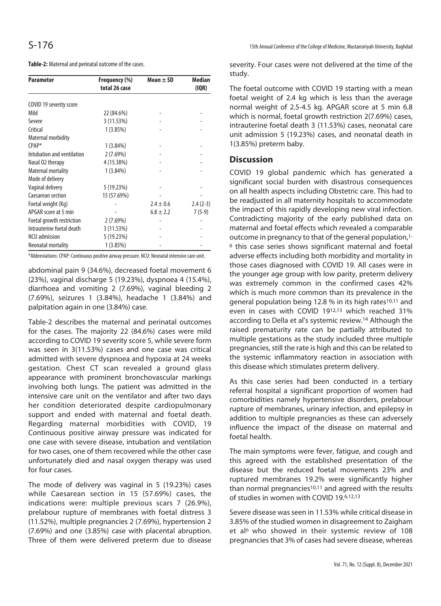**Table-2:** Maternal and perinatal outcome of the cases.

| <b>Parameter</b>           | Frequency (%) | Mean $\pm$ SD | <b>Median</b> |
|----------------------------|---------------|---------------|---------------|
|                            | total 26 case |               | (IQR)         |
| COVID 19 severity score    |               |               |               |
| Mild                       | 22 (84.6%)    |               |               |
| Severe                     | 3(11.53%)     |               |               |
| Critical                   | 1(3.85%)      |               |               |
| <b>Maternal morbidity</b>  |               |               |               |
| CPAP <sup>*</sup>          | $1(3.84\%)$   |               |               |
| Intubation and ventilation | 2(7.69%)      |               |               |
| Nasal 02 therapy           | 4 (15.38%)    |               |               |
| <b>Maternal mortality</b>  | $1(3.84\%)$   |               |               |
| Mode of delivery           |               |               |               |
| Vaginal delivery           | 5(19.23%)     |               |               |
| Caesarean section          | 15 (57.69%)   |               |               |
| Foetal weight (Kg)         |               | $2.4 \pm 0.6$ | $2.4(2-3)$    |
| APGAR score at 5 min       |               | $6.8 \pm 2.2$ | $7(5-9)$      |
| Foetal growth restriction  | 2(7.69%)      |               |               |
| Intrauterine foetal death  | 3(11.53%)     |               |               |
| <b>NCU</b> admission       | 5 (19.23%)    |               |               |
| Neonatal mortality         | 1(3.85%)      |               |               |

\*Abbreviations: CPAP: Continuous positive airway pressure. NCU: Neonatal intensive care unit.

abdominal pain 9 (34.6%), decreased foetal movement 6 (23%), vaginal discharge 5 (19.23%), dyspnoea 4 (15.4%), diarrhoea and vomiting 2 (7.69%), vaginal bleeding 2 (7.69%), seizures 1 (3.84%), headache 1 (3.84%) and palpitation again in one (3.84%) case.

Table-2 describes the maternal and perinatal outcomes for the cases. The majority 22 (84.6%) cases were mild according to COVID 19 severity score 5, while severe form was seen in 3(11.53%) cases and one case was critical admitted with severe dyspnoea and hypoxia at 24 weeks gestation. Chest CT scan revealed a ground glass appearance with prominent bronchovascular markings involving both lungs. The patient was admitted in the intensive care unit on the ventilator and after two days her condition deteriorated despite cardiopulmonary support and ended with maternal and foetal death. Regarding maternal morbidities with COVID, 19 Continuous positive airway pressure was indicated for one case with severe disease, intubation and ventilation for two cases, one of them recovered while the other case unfortunately died and nasal oxygen therapy was used for four cases.

The mode of delivery was vaginal in 5 (19.23%) cases while Caesarean section in 15 (57.69%) cases, the indications were: multiple previous scars 7 (26.9%), prelabour rupture of membranes with foetal distress 3 (11.52%), multiple pregnancies 2 (7.69%), hypertension 2 (7.69%) and one (3.85%) case with placental abruption. Three of them were delivered preterm due to disease severity. Four cases were not delivered at the time of the study.

The foetal outcome with COVID 19 starting with a mean foetal weight of 2.4 kg which is less than the average normal weight of 2.5-4.5 kg. APGAR score at 5 min 6.8 which is normal, foetal growth restriction 2(7.69%) cases, intrauterine foetal death 3 (11.53%) cases, neonatal care unit admission 5 (19.23%) cases, and neonatal death in 1(3.85%) preterm baby.

## **Discussion**

COVID 19 global pandemic which has generated a significant social burden with disastrous consequences on all health aspects including Obstetric care. This had to be readjusted in all maternity hospitals to accommodate the impact of this rapidly developing new viral infection. Contradicting majority of the early published data on maternal and foetal effects which revealed a comparable outcome in pregnancy to that of the general population,1- 6 this case series shows significant maternal and foetal adverse effects including both morbidity and mortality in those cases diagnosed with COVID 19. All cases were in the younger age group with low parity, preterm delivery was extremely common in the confirmed cases 42% which is much more common than its prevalence in the general population being 12.8 % in its high rates<sup>10,11</sup> and even in cases with COVID 1912,13 which reached 31% according to Della et al's systemic review.14 Although the raised prematurity rate can be partially attributed to multiple gestations as the study included three multiple pregnancies, still the rate is high and this can be related to the systemic inflammatory reaction in association with this disease which stimulates preterm delivery.

As this case series had been conducted in a tertiary referral hospital a significant proportion of women had comorbidities namely hypertensive disorders, prelabour rupture of membranes, urinary infection, and epilepsy in addition to multiple pregnancies as these can adversely influence the impact of the disease on maternal and foetal health.

The main symptoms were fever, fatigue, and cough and this agreed with the established presentation of the disease but the reduced foetal movements 23% and ruptured membranes 19.2% were significantly higher than normal pregnancies<sup>10,11</sup> and agreed with the results of studies in women with COVID 19.6,12,13

Severe disease was seen in 11.53% while critical disease in 3.85% of the studied women in disagreement to Zaigham et al<sup>6</sup> who showed in their systemic review of 108 pregnancies that 3% of cases had severe disease, whereas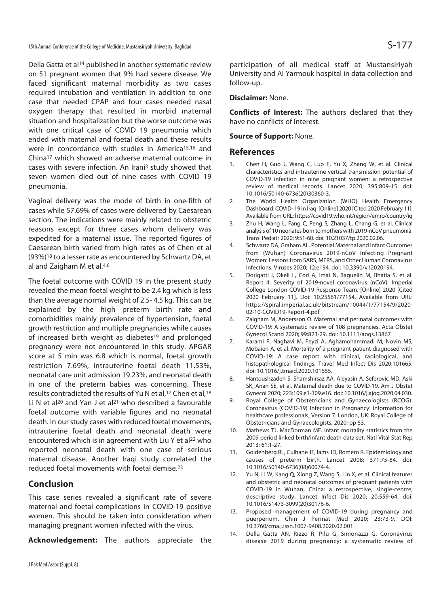Della Gatta et al<sup>14</sup> published in another systematic review on 51 pregnant women that 9% had severe disease. We faced significant maternal morbidity as two cases required intubation and ventilation in addition to one case that needed CPAP and four cases needed nasal oxygen therapy that resulted in morbid maternal situation and hospitalization but the worse outcome was with one critical case of COVID 19 pneumonia which ended with maternal and foetal death and these results were in concordance with studies in America<sup>15,16</sup> and China17 which showed an adverse maternal outcome in cases with severe infection. An Irani<sup>8</sup> study showed that seven women died out of nine cases with COVID 19 pneumonia.

Vaginal delivery was the mode of birth in one-fifth of cases while 57.69% of cases were delivered by Caesarean section. The indications were mainly related to obstetric reasons except for three cases whom delivery was expedited for a maternal issue. The reported figures of Caesarean birth varied from high rates as of Chen et al (93%)18 to a lesser rate as encountered by Schwartz DA, et al and Zaigham M et al.<sup>4,6</sup>

The foetal outcome with COVID 19 in the present study revealed the mean foetal weight to be 2.4 kg which is less than the average normal weight of 2.5- 4.5 kg. This can be explained by the high preterm birth rate and comorbidities mainly prevalence of hypertension, foetal growth restriction and multiple pregnancies while causes of increased birth weight as diabetes<sup>19</sup> and prolonged pregnancy were not encountered in this study. APGAR score at 5 min was 6.8 which is normal, foetal growth restriction 7.69%, intrauterine foetal death 11.53%, neonatal care unit admission 19.23%, and neonatal death in one of the preterm babies was concerning. These results contradicted the results of Yu N et al,12 Chen et al,18 Li N et al<sup>20</sup> and Yan J et al<sup>21</sup> who described a favourable foetal outcome with variable figures and no neonatal death. In our study cases with reduced foetal movements, intrauterine foetal death and neonatal death were encountered which is in agreement with Liu Y et al<sup>22</sup> who reported neonatal death with one case of serious maternal disease. Another Iraqi study correlated the reduced foetal movements with foetal demise.23

## **Conclusion**

This case series revealed a significant rate of severe maternal and foetal complications in COVID-19 positive women. This should be taken into consideration when managing pregnant women infected with the virus.

**Acknowledgement:** The authors appreciate the

participation of all medical staff at Mustansiriyah University and Al Yarmouk hospital in data collection and follow-up.

#### **Disclaimer:** None.

**Conflicts of Interest:** The authors declared that they have no conflicts of interest.

#### **Source of Support:** None.

#### **References**

- 1. Chen H, Guo J, Wang C, Luo F, Yu X, Zhang W, et al. Clinical characteristics and intrauterine vertical transmission potential of COVID-19 infection in nine pregnant women: a retrospective review of medical records. Lancet 2020; 395:809-15. doi: 10.1016/S0140-6736(20)30360-3.
- 2. The World Health Organization (WHO) Health Emergency Dashboard. COVID- 19 in Iraq. [Online] 2020 [Cited 2020 February 11]. Available from URL: https://covid19.who.int/region/emro/country/iq
- 3. Zhu H, Wang L, Fang C, Peng S, Zhang L, Chang G, et al. Clinical analysis of 10 neonates born to mothers with 2019-nCoV pneumonia. Transl Pediatr 2020; 9:51-60. doi: 10.21037/tp.2020.02.06.
- 4. Schwartz DA, Graham AL. Potential Maternal and Infant Outcomes from (Wuhan) Coronavirus 2019-nCoV Infecting Pregnant Women: Lessons from SARS, MERS, and Other Human Coronavirus Infections. Viruses 2020; 12:e194. doi: 10.3390/v12020194.
- 5. Dorigatti I, Okell L, Cori A, Imai N, Baguelin M, Bhatia S, et al. Report 4: Severity of 2019-novel coronavirus (nCoV). Imperial College London COVID-19 Response Team. [Online] 2020 [Cited 2020 February 11]. Doi: 10.25561/77154. Available from URL: https://spiral.imperial.ac.uk/bitstream/10044/1/77154/9/2020- 02-10-COVID19-Report-4.pdf
- 6. Zaigham M, Andersson O. Maternal and perinatal outcomes with COVID-19: A systematic review of 108 pregnancies. Acta Obstet Gynecol Scand 2020; 99:823-29. doi: 10.1111/aogs.13867
- 7. Karami P, Naghavi M, Feyzi A, Aghamohammadi M, Novin MS, Mobaien A, et al. Mortality of a pregnant patient diagnosed with COVID-19: A case report with clinical, radiological, and histopathological findings. Travel Med Infect Dis 2020:101665. doi: 10.1016/j.tmaid.2020.101665.
- 8. Hantoushzadeh S, Shamshirsaz AA, Aleyasin A, Seferovic MD, Aski SK, Arian SE, et al. Maternal death due to COVID-19. Am J Obstet Gynecol 2020; 223:109.e1-109.e16. doi: 10.1016/j.ajog.2020.04.030.
- 9. Royal College of Obstetricians and Gynaecologists (RCOG). Coronavirus (COVID-19) Infection in Pregnancy: Information for healthcare professionals, Version 7. London, UK: Royal College of Obstetricians and Gynaecologists, 2020; pp 53.
- 10. Mathews TJ, MacDorman MF. Infant mortality statistics from the 2009 period linked birth/infant death data set. Natl Vital Stat Rep 2013; 61:1-27.
- 11. Goldenberg RL, Culhane JF, Iams JD, Romero R. Epidemiology and causes of preterm birth. Lancet 2008; 371:75-84. doi: 10.1016/S0140-6736(08)60074-4.
- 12. Yu N, Li W, Kang Q, Xiong Z, Wang S, Lin X, et al. Clinical features and obstetric and neonatal outcomes of pregnant patients with COVID-19 in Wuhan, China: a retrospective, single-centre, descriptive study. Lancet Infect Dis 2020; 20:559-64. doi: 10.1016/S1473-3099(20)30176-6.
- 13. Proposed management of COVID-19 during pregnancy and puerperium. Chin J Perinat Med 2020; 23:73-9. DOI: 10.3760/cma.j.issn.1007-9408.2020.02.001
- 14. Della Gatta AN, Rizzo R, Pilu G, Simonazzi G. Coronavirus disease 2019 during pregnancy: a systematic review of